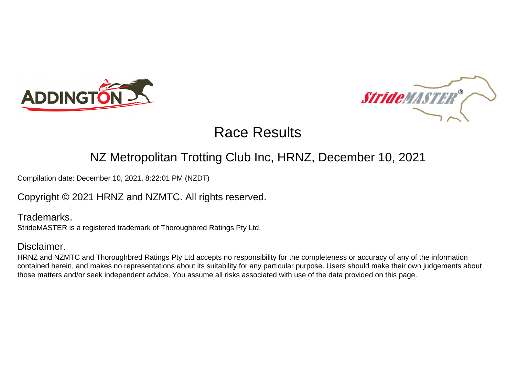



# Race Results

## NZ Metropolitan Trotting Club Inc, HRNZ, December 10, 2021

Compilation date: December 10, 2021, 8:22:01 PM (NZDT)

### Copyright © 2021 HRNZ and NZMTC. All rights reserved.

Trademarks. StrideMASTER is a registered trademark of Thoroughbred Ratings Pty Ltd.

#### Disclaimer.

HRNZ and NZMTC and Thoroughbred Ratings Pty Ltd accepts no responsibility for the completeness or accuracy of any of the information contained herein, and makes no representations about its suitability for any particular purpose. Users should make their own judgements about those matters and/or seek independent advice. You assume all risks associated with use of the data provided on this page.